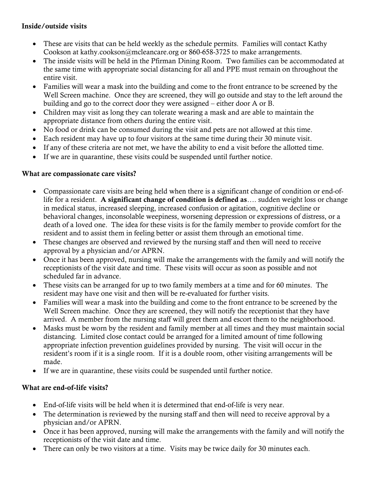## Inside/outside visits

- These are visits that can be held weekly as the schedule permits. Families will contact Kathy Cookson at kathy.cookson@mcleancare.org or 860-658-3725 to make arrangements.
- The inside visits will be held in the Pfirman Dining Room. Two families can be accommodated at the same time with appropriate social distancing for all and PPE must remain on throughout the entire visit.
- Families will wear a mask into the building and come to the front entrance to be screened by the Well Screen machine. Once they are screened, they will go outside and stay to the left around the building and go to the correct door they were assigned – either door A or B.
- Children may visit as long they can tolerate wearing a mask and are able to maintain the appropriate distance from others during the entire visit.
- No food or drink can be consumed during the visit and pets are not allowed at this time.
- Each resident may have up to four visitors at the same time during their 30 minute visit.
- If any of these criteria are not met, we have the ability to end a visit before the allotted time.
- If we are in quarantine, these visits could be suspended until further notice.

## What are compassionate care visits?

- Compassionate care visits are being held when there is a significant change of condition or end-oflife for a resident. A significant change of condition is defined as.... sudden weight loss or change in medical status, increased sleeping, increased confusion or agitation, cognitive decline or behavioral changes, inconsolable weepiness, worsening depression or expressions of distress, or a death of a loved one. The idea for these visits is for the family member to provide comfort for the resident and to assist them in feeling better or assist them through an emotional time.
- These changes are observed and reviewed by the nursing staff and then will need to receive approval by a physician and/or APRN.
- Once it has been approved, nursing will make the arrangements with the family and will notify the receptionists of the visit date and time. These visits will occur as soon as possible and not scheduled far in advance.
- These visits can be arranged for up to two family members at a time and for 60 minutes. The resident may have one visit and then will be re-evaluated for further visits.
- Families will wear a mask into the building and come to the front entrance to be screened by the Well Screen machine. Once they are screened, they will notify the receptionist that they have arrived. A member from the nursing staff will greet them and escort them to the neighborhood.
- Masks must be worn by the resident and family member at all times and they must maintain social distancing. Limited close contact could be arranged for a limited amount of time following appropriate infection prevention guidelines provided by nursing. The visit will occur in the resident's room if it is a single room. If it is a double room, other visiting arrangements will be made.
- If we are in quarantine, these visits could be suspended until further notice.

## What are end-of-life visits?

- End-of-life visits will be held when it is determined that end-of-life is very near.
- The determination is reviewed by the nursing staff and then will need to receive approval by a physician and/or APRN.
- Once it has been approved, nursing will make the arrangements with the family and will notify the receptionists of the visit date and time.
- There can only be two visitors at a time. Visits may be twice daily for 30 minutes each.